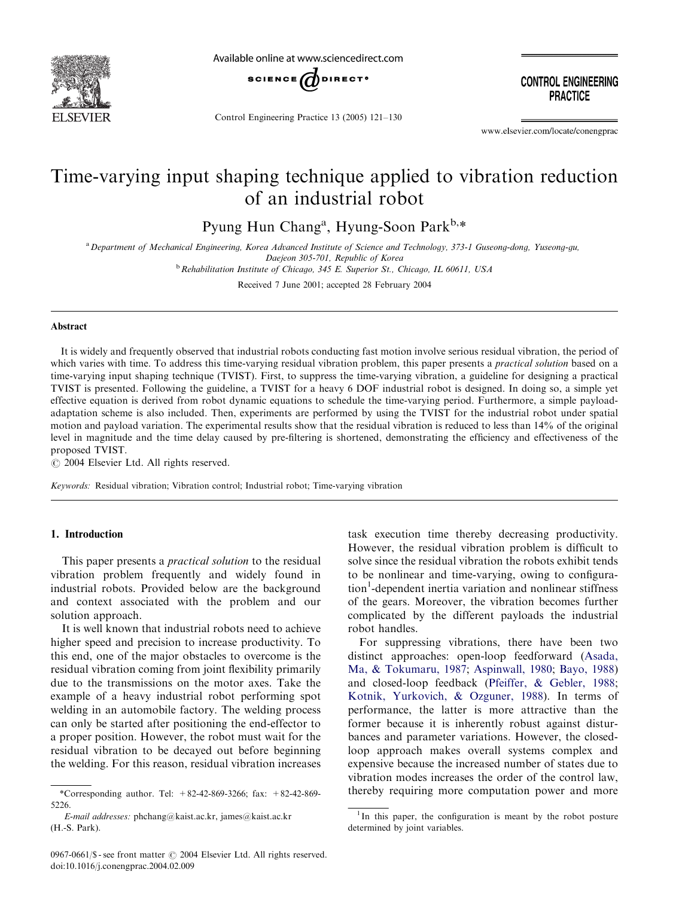

Available online at www.sciencedirect.com



Control Engineering Practice 13 (2005) 121–130

**CONTROL ENGINEERING PRACTICE** 

www.elsevier.com/locate/conengprac

## Time-varying input shaping technique applied to vibration reduction of an industrial robot

Pyung Hun Chang<sup>a</sup>, Hyung-Soon Park<sup>b,\*</sup>

a Department of Mechanical Engineering, Korea Advanced Institute of Science and Technology, 373-1 Guseong-dong, Yuseong-gu, Daejeon 305-701, Republic of Korea

 $<sup>b</sup>$  Rehabilitation Institute of Chicago, 345 E. Superior St., Chicago, IL 60611, USA</sup>

Received 7 June 2001; accepted 28 February 2004

#### Abstract

It is widely and frequently observed that industrial robots conducting fast motion involve serious residual vibration, the period of which varies with time. To address this time-varying residual vibration problem, this paper presents a *practical solution* based on a time-varying input shaping technique (TVIST). First, to suppress the time-varying vibration, a guideline for designing a practical TVIST is presented. Following the guideline, a TVIST for a heavy 6 DOF industrial robot is designed. In doing so, a simple yet effective equation is derived from robot dynamic equations to schedule the time-varying period. Furthermore, a simple payloadadaptation scheme is also included. Then, experiments are performed by using the TVIST for the industrial robot under spatial motion and payload variation. The experimental results show that the residual vibration is reduced to less than 14% of the original level in magnitude and the time delay caused by pre-filtering is shortened, demonstrating the efficiency and effectiveness of the proposed TVIST.

 $\odot$  2004 Elsevier Ltd. All rights reserved.

Keywords: Residual vibration; Vibration control; Industrial robot; Time-varying vibration

#### 1. Introduction

This paper presents a *practical solution* to the residual vibration problem frequently and widely found in industrial robots. Provided below are the background and context associated with the problem and our solution approach.

It is well known that industrial robots need to achieve higher speed and precision to increase productivity. To this end, one of the major obstacles to overcome is the residual vibration coming from joint flexibility primarily due to the transmissions on the motor axes. Take the example of a heavy industrial robot performing spot welding in an automobile factory. The welding process can only be started after positioning the end-effector to a proper position. However, the robot must wait for the residual vibration to be decayed out before beginning the welding. For this reason, residual vibration increases task execution time thereby decreasing productivity. However, the residual vibration problem is difficult to solve since the residual vibration the robots exhibit tends to be nonlinear and time-varying, owing to configuration<sup>1</sup>-dependent inertia variation and nonlinear stiffness of the gears. Moreover, the vibration becomes further complicated by the different payloads the industrial robot handles.

For suppressing vibrations, there have been two distinct approaches: open-loop feedforward [\(Asada,](#page--1-0) [Ma,](#page--1-0) & [Tokumaru, 1987;](#page--1-0) [Aspinwall, 1980;](#page--1-0) [Bayo, 1988\)](#page--1-0) and closed-loop feedback [\(Pfeiffer, & Gebler, 1988](#page--1-0); [Kotnik, Yurkovich, & Ozguner, 1988\)](#page--1-0). In terms of performance, the latter is more attractive than the former because it is inherently robust against disturbances and parameter variations. However, the closedloop approach makes overall systems complex and expensive because the increased number of states due to vibration modes increases the order of the control law, thereby requiring more computation power and more

<sup>\*</sup>Corresponding author. Tel: +82-42-869-3266; fax: +82-42-869- 5226.

E-mail addresses: phchang@kaist.ac.kr, james@kaist.ac.kr (H.-S. Park).

<sup>&</sup>lt;sup>1</sup>In this paper, the configuration is meant by the robot posture determined by joint variables.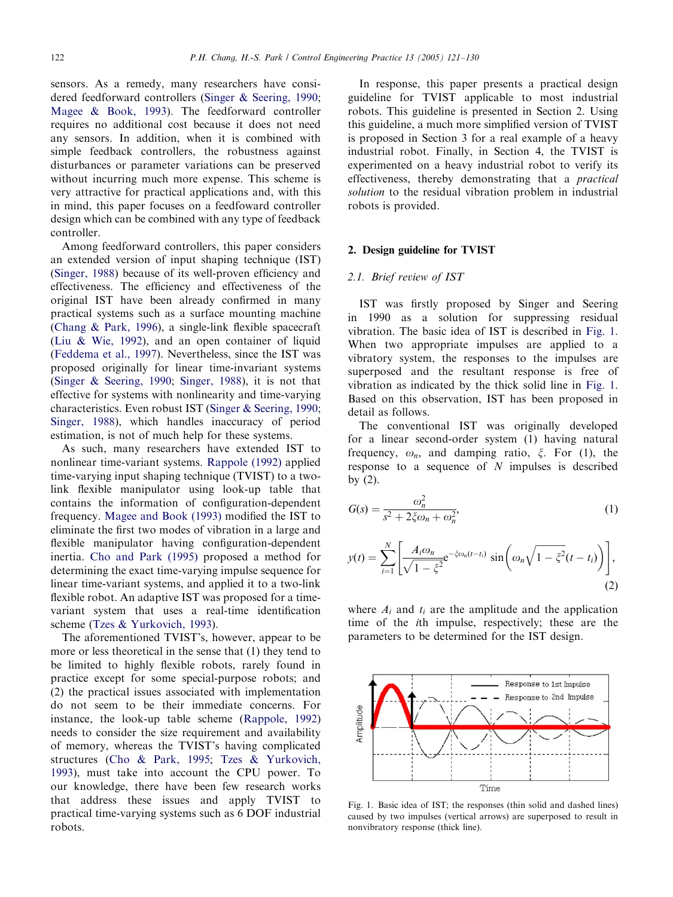sensors. As a remedy, many researchers have considered feedforward controllers ([Singer & Seering, 1990](#page--1-0); [Magee](#page--1-0) & [Book, 1993](#page--1-0)). The feedforward controller requires no additional cost because it does not need any sensors. In addition, when it is combined with simple feedback controllers, the robustness against disturbances or parameter variations can be preserved without incurring much more expense. This scheme is very attractive for practical applications and, with this in mind, this paper focuses on a feedfoward controller design which can be combined with any type of feedback controller.

Among feedforward controllers, this paper considers an extended version of input shaping technique (IST) [\(Singer, 1988](#page--1-0)) because of its well-proven efficiency and effectiveness. The efficiency and effectiveness of the original IST have been already confirmed in many practical systems such as a surface mounting machine [\(Chang](#page--1-0) [& Park, 1996](#page--1-0)), a single-link flexible spacecraft [\(Liu](#page--1-0) & [Wie, 1992\)](#page--1-0), and an open container of liquid [\(Feddema et al., 1997\)](#page--1-0). Nevertheless, since the IST was proposed originally for linear time-invariant systems [\(Singer](#page--1-0) & [Seering, 1990;](#page--1-0) [Singer, 1988\)](#page--1-0), it is not that effective for systems with nonlinearity and time-varying characteristics. Even robust IST ([Singer & Seering, 1990](#page--1-0); [Singer, 1988\)](#page--1-0), which handles inaccuracy of period estimation, is not of much help for these systems.

As such, many researchers have extended IST to nonlinear time-variant systems. [Rappole \(1992\)](#page--1-0) applied time-varying input shaping technique (TVIST) to a twolink flexible manipulator using look-up table that contains the information of configuration-dependent frequency. Magee and Book (1993) modified the IST to eliminate the first two modes of vibration in a large and flexible manipulator having configuration-dependent inertia. Cho and Park (1995) proposed a method for determining the exact time-varying impulse sequence for linear time-variant systems, and applied it to a two-link flexible robot. An adaptive IST was proposed for a timevariant system that uses a real-time identification scheme [\(Tzes & Yurkovich, 1993](#page--1-0)).

The aforementioned TVIST's, however, appear to be more or less theoretical in the sense that  $(1)$  they tend to be limited to highly flexible robots, rarely found in practice except for some special-purpose robots; and  $(2)$  the practical issues associated with implementation do not seem to be their immediate concerns. For instance, the look-up table scheme [\(Rappole, 1992\)](#page--1-0) needs to consider the size requirement and availability of memory, whereas the TVIST's having complicated structures ([Cho & Park, 1995;](#page--1-0) [Tzes](#page--1-0) & [Yurkovich,](#page--1-0) [1993\)](#page--1-0), must take into account the CPU power. To our knowledge, there have been few research works that address these issues and apply TVIST to practical time-varying systems such as 6 DOF industrial robots.

In response, this paper presents a practical design guideline for TVIST applicable to most industrial robots. This guideline is presented in Section 2. Using this guideline, a much more simplified version of TVIST is proposed in Section 3 for a real example of a heavy industrial robot. Finally, in Section 4, the TVIST is experimented on a heavy industrial robot to verify its effectiveness, thereby demonstrating that a *practical* solution to the residual vibration problem in industrial robots is provided.

#### 2. Design guideline for TVIST

### 2.1. Brief review of IST

IST was firstly proposed by Singer and Seering in 1990 as a solution for suppressing residual vibration. The basic idea of IST is described in Fig. 1. When two appropriate impulses are applied to a vibratory system, the responses to the impulses are superposed and the resultant response is free of vibration as indicated by the thick solid line in Fig. 1. Based on this observation, IST has been proposed in detail as follows.

The conventional IST was originally developed for a linear second-order system (1) having natural frequency,  $\omega_n$ , and damping ratio,  $\xi$ . For (1), the response to a sequence of  $N$  impulses is described by (2).

$$
G(s) = \frac{\omega_n^2}{s^2 + 2\xi\omega_n + \omega_n^2},\tag{1}
$$

$$
y(t) = \sum_{i=1}^{N} \left[ \frac{A_i \omega_n}{\sqrt{1 - \xi^2}} e^{-\xi \omega_n (t - t_i)} \sin \left( \omega_n \sqrt{1 - \xi^2} (t - t_i) \right) \right],
$$
\n(2)

where  $A_i$  and  $t_i$  are the amplitude and the application time of the ith impulse, respectively; these are the parameters to be determined for the IST design.



Fig. 1. Basic idea of IST; the responses (thin solid and dashed lines) caused by two impulses (vertical arrows) are superposed to result in nonvibratory response (thick line).